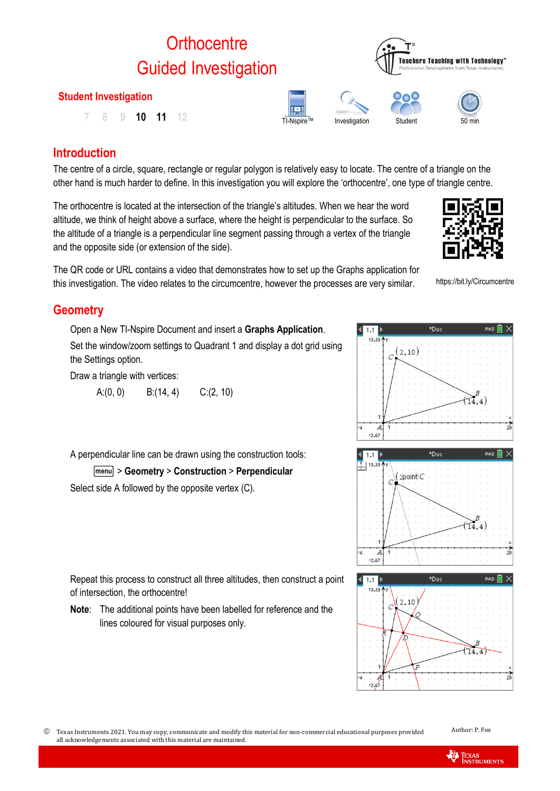# **Orthocentre** Guided Investigation

# **Student Investigation**

TI-Nspire™ Investigation Student <sup>50</sup> min **7 8 9 10 11 12**

# **Introduction**

The centre of a circle, square, rectangle or regular polygon is relatively easy to locate. The centre of a triangle on the other hand is much harder to define. In this investigation you will explore the 'orthocentre', one type of triangle centre.

The orthocentre is located at the intersection of the triangle's altitudes. When we hear the word altitude, we think of height above a surface, where the height is perpendicular to the surface. So the altitude of a triangle is a perpendicular line segment passing through a vertex of the triangle and the opposite side (or extension of the side).

The QR code or URL contains a video that demonstrates how to set up the Graphs application for this investigation. The video relates to the circumcentre, however the processes are very similar.

# **Geometry**

Open a New TI-Nspire Document and insert a **Graphs Application**. Set the window/zoom settings to Quadrant 1 and display a dot grid using the Settings option.

Draw a triangle with vertices:

A: $(0, 0)$  B: $(14, 4)$  C: $(2, 10)$ 

A perpendicular line can be drawn using the construction tools:

b> **Geometry** > **Construction** > **Perpendicular**

Select side A followed by the opposite vertex (C).

Repeat this process to construct all three altitudes, then construct a point of intersection, the orthocentre!

**Note**: The additional points have been labelled for reference and the lines coloured for visual purposes only.



**TEXAS**<br>INSTRUMENTS









https://bit.ly/Circumcentre